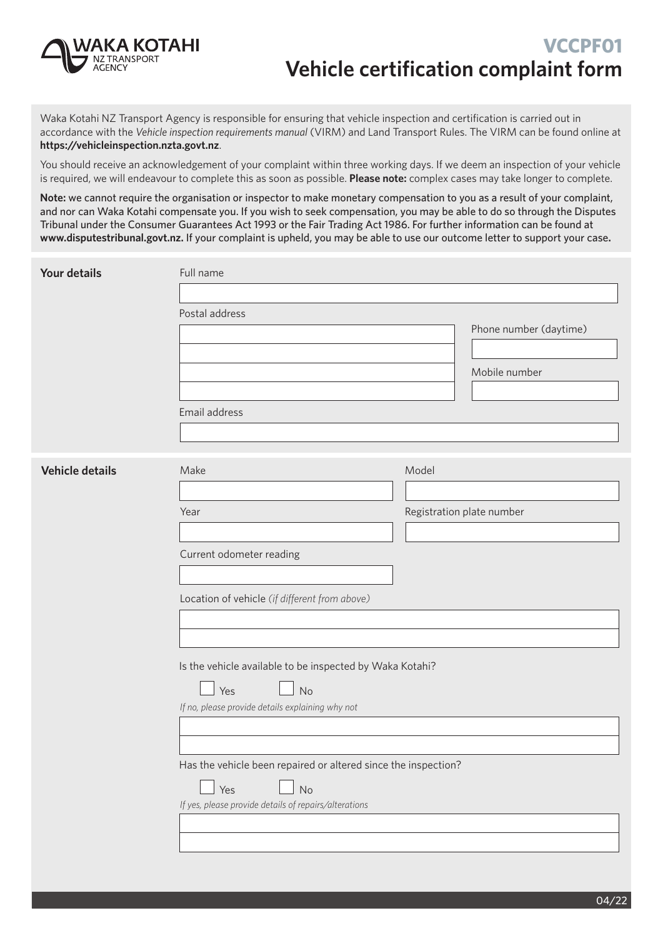

Waka Kotahi NZ Transport Agency is responsible for ensuring that vehicle inspection and certification is carried out in accordance with the *[Vehicle inspection requirements manual](http://vehicleinspection.nzta.govt.nz/)* (VIRM) and [Land Transport Rules](http://www.nzta.govt.nz/resources/rules/about/index.html). The VIRM can be found online at **https://vehicleinspection.nzta.govt.nz**.

You should receive an acknowledgement of your complaint within three working days. If we deem an inspection of your vehicle is required, we will endeavour to complete this as soon as possible. **Please note:** complex cases may take longer to complete.

**Note:** we cannot require the organisation or inspector to make monetary compensation to you as a result of your complaint, and nor can Waka Kotahi compensate you. If you wish to seek compensation, you may be able to do so through the Disputes Tribunal under the Consumer Guarantees Act 1993 or the Fair Trading Act 1986. For further information can be found at **www.disputestribunal.govt.nz.** If your complaint is upheld, you may be able to use our outcome letter to support your case**.**

| <b>Your details</b>    | Full name                                                      |                           |  |  |  |
|------------------------|----------------------------------------------------------------|---------------------------|--|--|--|
|                        |                                                                |                           |  |  |  |
|                        | Postal address                                                 | Phone number (daytime)    |  |  |  |
|                        |                                                                |                           |  |  |  |
|                        |                                                                | Mobile number             |  |  |  |
|                        |                                                                |                           |  |  |  |
|                        | Email address                                                  |                           |  |  |  |
|                        |                                                                |                           |  |  |  |
| <b>Vehicle details</b> | Make                                                           | Model                     |  |  |  |
|                        |                                                                |                           |  |  |  |
|                        | Year                                                           | Registration plate number |  |  |  |
|                        |                                                                |                           |  |  |  |
|                        | Current odometer reading                                       |                           |  |  |  |
|                        |                                                                |                           |  |  |  |
|                        | Location of vehicle (if different from above)                  |                           |  |  |  |
|                        |                                                                |                           |  |  |  |
|                        |                                                                |                           |  |  |  |
|                        | Is the vehicle available to be inspected by Waka Kotahi?       |                           |  |  |  |
|                        | Yes<br>No                                                      |                           |  |  |  |
|                        | If no, please provide details explaining why not               |                           |  |  |  |
|                        |                                                                |                           |  |  |  |
|                        | Has the vehicle been repaired or altered since the inspection? |                           |  |  |  |
|                        | Yes<br>No                                                      |                           |  |  |  |
|                        | If yes, please provide details of repairs/alterations          |                           |  |  |  |
|                        |                                                                |                           |  |  |  |
|                        |                                                                |                           |  |  |  |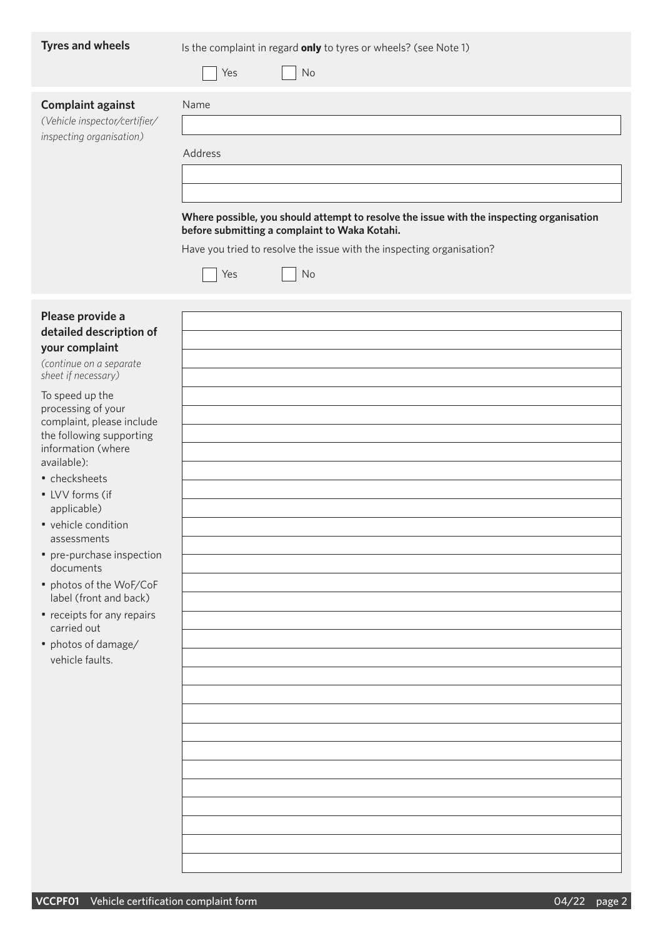| <b>Tyres and wheels</b>                                                               | Is the complaint in regard only to tyres or wheels? (see Note 1)<br>No<br>Yes                                                                                                                                                         |
|---------------------------------------------------------------------------------------|---------------------------------------------------------------------------------------------------------------------------------------------------------------------------------------------------------------------------------------|
| <b>Complaint against</b><br>(Vehicle inspector/certifier/<br>inspecting organisation) | Name<br>Address<br>Where possible, you should attempt to resolve the issue with the inspecting organisation<br>before submitting a complaint to Waka Kotahi.<br>Have you tried to resolve the issue with the inspecting organisation? |

 $\Box$  Yes  $\Box$  No

| Please provide a        |
|-------------------------|
| detailed description of |
| your complaint          |

*(continue on a separate sheet if necessary)*

To speed up the processing of your complaint, please include the following supporting information (where available):

- checksheets
- LVV forms (if applicable)
- vehicle condition assessments
- pre-purchase inspection documents
- photos of the WoF/CoF label (front and back)
- receipts for any repairs carried out
- photos of damage/ vehicle faults.